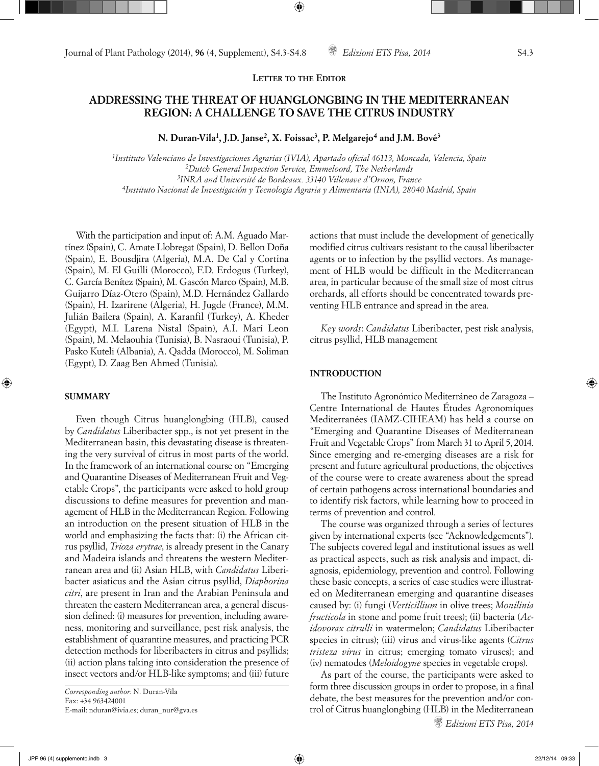# **ADDRESSING THE THREAT OF HUANGLONGBING IN THE MEDITERRANEAN REGION: A CHALLENGE TO SAVE THE CITRUS INDUSTRY**

**N. Duran-Vila1, J.D. Janse2, X. Foissac3, P. Melgarejo4 and J.M. Bové3**

*1Instituto Valenciano de Investigaciones Agrarias (IVIA), Apartado oficial 46113, Moncada, Valencia, Spain 2Dutch General Inspection Service, Emmeloord, The Netherlands 3INRA and Université de Bordeaux. 33140 Villenave d'Ornon, France 4Instituto Nacional de Investigación y Tecnología Agraria y Alimentaria (INIA), 28040 Madrid, Spain*

With the participation and input of: A.M. Aguado Martínez (Spain), C. Amate Llobregat (Spain), D. Bellon Doña (Spain), E. Bousdjira (Algeria), M.A. De Cal y Cortina (Spain), M. El Guilli (Morocco), F.D. Erdogus (Turkey), C. García Benítez (Spain), M. Gascón Marco (Spain), M.B. Guijarro Díaz-Otero (Spain), M.D. Hernández Gallardo (Spain), H. Izarirene (Algeria), H. Jugde (France), M.M. Julián Bailera (Spain), A. Karanfil (Turkey), A. Kheder (Egypt), M.I. Larena Nistal (Spain), A.I. Marí Leon (Spain), M. Melaouhia (Tunisia), B. Nasraoui (Tunisia), P. Pasko Kuteli (Albania), A. Qadda (Morocco), M. Soliman (Egypt), D. Zaag Ben Ahmed (Tunisia).

# **SUMMARY**

Even though Citrus huanglongbing (HLB), caused by *Candidatus* Liberibacter spp., is not yet present in the Mediterranean basin, this devastating disease is threatening the very survival of citrus in most parts of the world. In the framework of an international course on "Emerging and Quarantine Diseases of Mediterranean Fruit and Vegetable Crops", the participants were asked to hold group discussions to define measures for prevention and management of HLB in the Mediterranean Region. Following an introduction on the present situation of HLB in the world and emphasizing the facts that: (i) the African citrus psyllid, *Trioza erytrae*, is already present in the Canary and Madeira islands and threatens the western Mediterranean area and (ii) Asian HLB, with *Candidatus* Liberibacter asiaticus and the Asian citrus psyllid, *Diaphorina citri*, are present in Iran and the Arabian Peninsula and threaten the eastern Mediterranean area, a general discussion defined: (i) measures for prevention, including awareness, monitoring and surveillance, pest risk analysis, the establishment of quarantine measures, and practicing PCR detection methods for liberibacters in citrus and psyllids; (ii) action plans taking into consideration the presence of insect vectors and/or HLB-like symptoms; and (iii) future actions that must include the development of genetically modified citrus cultivars resistant to the causal liberibacter agents or to infection by the psyllid vectors. As management of HLB would be difficult in the Mediterranean area, in particular because of the small size of most citrus orchards, all efforts should be concentrated towards preventing HLB entrance and spread in the area.

*Key words*: *Candidatus* Liberibacter, pest risk analysis, citrus psyllid, HLB management

# **INTRODUCTION**

The Instituto Agronómico Mediterráneo de Zaragoza – Centre International de Hautes Études Agronomiques Mediterranées (IAMZ-CIHEAM) has held a course on "Emerging and Quarantine Diseases of Mediterranean Fruit and Vegetable Crops" from March 31 to April 5, 2014. Since emerging and re-emerging diseases are a risk for present and future agricultural productions, the objectives of the course were to create awareness about the spread of certain pathogens across international boundaries and to identify risk factors, while learning how to proceed in terms of prevention and control.

The course was organized through a series of lectures given by international experts (see "Acknowledgements"). The subjects covered legal and institutional issues as well as practical aspects, such as risk analysis and impact, diagnosis, epidemiology, prevention and control. Following these basic concepts, a series of case studies were illustrated on Mediterranean emerging and quarantine diseases caused by: (i) fungi (*Verticillium* in olive trees; *Monilinia fructicola* in stone and pome fruit trees); (ii) bacteria (*Acidovorax citrulli* in watermelon; *Candidatus* Liberibacter species in citrus); (iii) virus and virus-like agents (*Citrus tristeza virus* in citrus; emerging tomato viruses); and (iv) nematodes (*Meloidogyne* species in vegetable crops).

As part of the course, the participants were asked to form three discussion groups in order to propose, in a final debate, the best measures for the prevention and/or control of Citrus huanglongbing (HLB) in the Mediterranean

*Corresponding author:* N. Duran-Vila Fax: +34 963424001 E-mail: nduran@ivia.es; duran\_nur@gva.es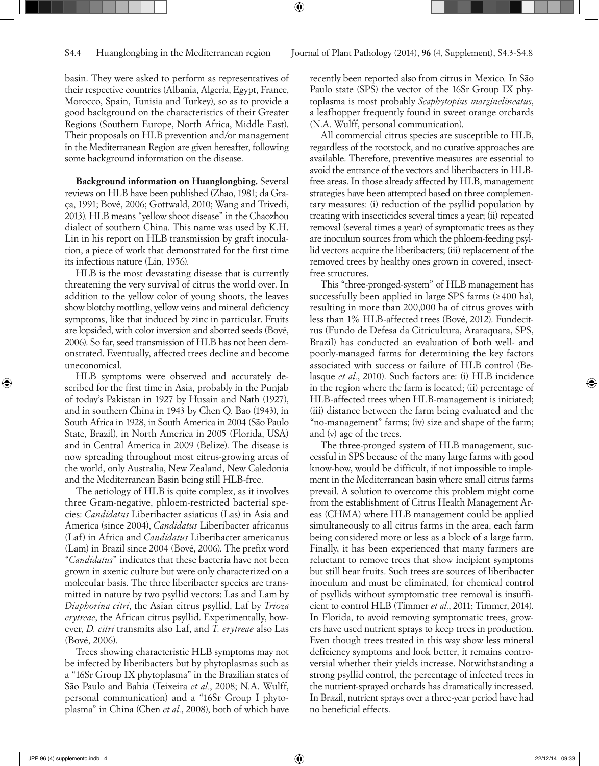basin. They were asked to perform as representatives of their respective countries (Albania, Algeria, Egypt, France, Morocco, Spain, Tunisia and Turkey), so as to provide a good background on the characteristics of their Greater Regions (Southern Europe, North Africa, Middle East). Their proposals on HLB prevention and/or management in the Mediterranean Region are given hereafter, following some background information on the disease.

**Background information on Huanglongbing.** Several reviews on HLB have been published (Zhao, 1981; da Graça, 1991; Bové, 2006; Gottwald, 2010; Wang and Trivedi, 2013). HLB means "yellow shoot disease" in the Chaozhou dialect of southern China. This name was used by K.H. Lin in his report on HLB transmission by graft inoculation, a piece of work that demonstrated for the first time its infectious nature (Lin, 1956).

HLB is the most devastating disease that is currently threatening the very survival of citrus the world over. In addition to the yellow color of young shoots, the leaves show blotchy mottling, yellow veins and mineral deficiency symptoms, like that induced by zinc in particular. Fruits are lopsided, with color inversion and aborted seeds (Bové, 2006). So far, seed transmission of HLB has not been demonstrated. Eventually, affected trees decline and become uneconomical.

HLB symptoms were observed and accurately described for the first time in Asia, probably in the Punjab of today's Pakistan in 1927 by Husain and Nath (1927), and in southern China in 1943 by Chen Q. Bao (1943), in South Africa in 1928, in South America in 2004 (São Paulo State, Brazil), in North America in 2005 (Florida, USA) and in Central America in 2009 (Belize). The disease is now spreading throughout most citrus-growing areas of the world, only Australia, New Zealand, New Caledonia and the Mediterranean Basin being still HLB-free.

The aetiology of HLB is quite complex, as it involves three Gram-negative, phloem-restricted bacterial species: *Candidatus* Liberibacter asiaticus (Las) in Asia and America (since 2004), *Candidatus* Liberibacter africanus (Laf) in Africa and *Candidatus* Liberibacter americanus (Lam) in Brazil since 2004 (Bové, 2006). The prefix word "*Candidatus*" indicates that these bacteria have not been grown in axenic culture but were only characterized on a molecular basis. The three liberibacter species are transmitted in nature by two psyllid vectors: Las and Lam by *Diaphorina citri*, the Asian citrus psyllid, Laf by *Trioza erytreae*, the African citrus psyllid. Experimentally, however, *D. citri* transmits also Laf, and *T. erytreae* also Las (Bové, 2006).

Trees showing characteristic HLB symptoms may not be infected by liberibacters but by phytoplasmas such as a "16Sr Group IX phytoplasma" in the Brazilian states of São Paulo and Bahia (Teixeira *et al.*, 2008; N.A. Wulff, personal communication) and a "16Sr Group I phytoplasma" in China (Chen *et al.*, 2008), both of which have

recently been reported also from citrus in Mexico*.* In São Paulo state (SPS) the vector of the 16Sr Group IX phytoplasma is most probably *Scaphytopius marginelineatus*, a leafhopper frequently found in sweet orange orchards (N.A. Wulff, personal communication).

All commercial citrus species are susceptible to HLB, regardless of the rootstock, and no curative approaches are available. Therefore, preventive measures are essential to avoid the entrance of the vectors and liberibacters in HLBfree areas. In those already affected by HLB, management strategies have been attempted based on three complementary measures: (i) reduction of the psyllid population by treating with insecticides several times a year; (ii) repeated removal (several times a year) of symptomatic trees as they are inoculum sources from which the phloem-feeding psyllid vectors acquire the liberibacters; (iii) replacement of the removed trees by healthy ones grown in covered, insectfree structures.

This "three-pronged-system" of HLB management has successfully been applied in large SPS farms  $(≥ 400$  ha), resulting in more than 200,000 ha of citrus groves with less than 1% HLB-affected trees (Bové, 2012). Fundecitrus (Fundo de Defesa da Citricultura, Araraquara, SPS, Brazil) has conducted an evaluation of both well- and poorly-managed farms for determining the key factors associated with success or failure of HLB control (Belasque *et al.*, 2010). Such factors are: (i) HLB incidence in the region where the farm is located; (ii) percentage of HLB-affected trees when HLB-management is initiated; (iii) distance between the farm being evaluated and the "no-management" farms; (iv) size and shape of the farm; and (v) age of the trees.

The three-pronged system of HLB management, successful in SPS because of the many large farms with good know-how, would be difficult, if not impossible to implement in the Mediterranean basin where small citrus farms prevail. A solution to overcome this problem might come from the establishment of Citrus Health Management Areas (CHMA) where HLB management could be applied simultaneously to all citrus farms in the area, each farm being considered more or less as a block of a large farm. Finally, it has been experienced that many farmers are reluctant to remove trees that show incipient symptoms but still bear fruits. Such trees are sources of liberibacter inoculum and must be eliminated, for chemical control of psyllids without symptomatic tree removal is insufficient to control HLB (Timmer *et al.*, 2011; Timmer, 2014). In Florida, to avoid removing symptomatic trees, growers have used nutrient sprays to keep trees in production. Even though trees treated in this way show less mineral deficiency symptoms and look better, it remains controversial whether their yields increase. Notwithstanding a strong psyllid control, the percentage of infected trees in the nutrient-sprayed orchards has dramatically increased. In Brazil, nutrient sprays over a three-year period have had no beneficial effects.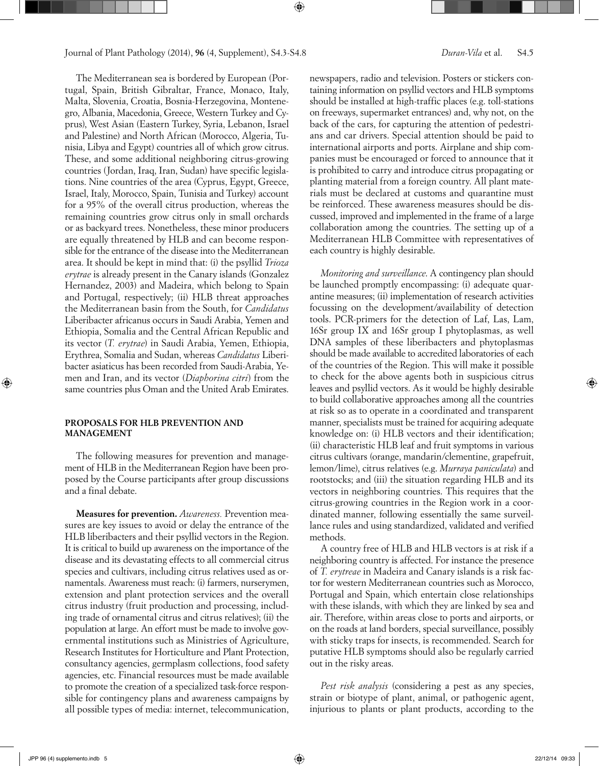The Mediterranean sea is bordered by European (Portugal, Spain, British Gibraltar, France, Monaco, Italy, Malta, Slovenia, Croatia, Bosnia-Herzegovina, Montenegro, Albania, Macedonia, Greece, Western Turkey and Cyprus), West Asian (Eastern Turkey, Syria, Lebanon, Israel and Palestine) and North African (Morocco, Algeria, Tunisia, Libya and Egypt) countries all of which grow citrus. These, and some additional neighboring citrus-growing countries (Jordan, Iraq, Iran, Sudan) have specific legislations. Nine countries of the area (Cyprus, Egypt, Greece, Israel, Italy, Morocco, Spain, Tunisia and Turkey) account for a 95% of the overall citrus production, whereas the remaining countries grow citrus only in small orchards or as backyard trees. Nonetheless, these minor producers are equally threatened by HLB and can become responsible for the entrance of the disease into the Mediterranean area. It should be kept in mind that: (i) the psyllid *Trioza erytrae* is already present in the Canary islands (Gonzalez Hernandez, 2003) and Madeira, which belong to Spain and Portugal, respectively; (ii) HLB threat approaches the Mediterranean basin from the South, for *Candidatus* Liberibacter africanus occurs in Saudi Arabia, Yemen and Ethiopia, Somalia and the Central African Republic and its vector (*T. erytrae*) in Saudi Arabia, Yemen, Ethiopia, Erythrea, Somalia and Sudan, whereas *Candidatus* Liberibacter asiaticus has been recorded from Saudi-Arabia, Yemen and Iran, and its vector (*Diaphorina citri*) from the same countries plus Oman and the United Arab Emirates.

# **PROPOSALS FOR HLB PREVENTION AND MANAGEMENT**

The following measures for prevention and management of HLB in the Mediterranean Region have been proposed by the Course participants after group discussions and a final debate.

**Measures for prevention.** *Awareness.* Prevention measures are key issues to avoid or delay the entrance of the HLB liberibacters and their psyllid vectors in the Region. It is critical to build up awareness on the importance of the disease and its devastating effects to all commercial citrus species and cultivars, including citrus relatives used as ornamentals. Awareness must reach: (i) farmers, nurserymen, extension and plant protection services and the overall citrus industry (fruit production and processing, including trade of ornamental citrus and citrus relatives); (ii) the population at large. An effort must be made to involve governmental institutions such as Ministries of Agriculture, Research Institutes for Horticulture and Plant Protection, consultancy agencies, germplasm collections, food safety agencies, etc. Financial resources must be made available to promote the creation of a specialized task-force responsible for contingency plans and awareness campaigns by all possible types of media: internet, telecommunication, newspapers, radio and television. Posters or stickers containing information on psyllid vectors and HLB symptoms should be installed at high-traffic places (e.g. toll-stations on freeways, supermarket entrances) and, why not, on the back of the cars, for capturing the attention of pedestrians and car drivers. Special attention should be paid to international airports and ports. Airplane and ship companies must be encouraged or forced to announce that it is prohibited to carry and introduce citrus propagating or planting material from a foreign country. All plant materials must be declared at customs and quarantine must be reinforced. These awareness measures should be discussed, improved and implemented in the frame of a large collaboration among the countries. The setting up of a Mediterranean HLB Committee with representatives of each country is highly desirable.

*Monitoring and surveillance*. A contingency plan should be launched promptly encompassing: (i) adequate quarantine measures; (ii) implementation of research activities focussing on the development/availability of detection tools. PCR-primers for the detection of Laf, Las, Lam, 16Sr group IX and 16Sr group I phytoplasmas, as well DNA samples of these liberibacters and phytoplasmas should be made available to accredited laboratories of each of the countries of the Region. This will make it possible to check for the above agents both in suspicious citrus leaves and psyllid vectors. As it would be highly desirable to build collaborative approaches among all the countries at risk so as to operate in a coordinated and transparent manner, specialists must be trained for acquiring adequate knowledge on: (i) HLB vectors and their identification; (ii) characteristic HLB leaf and fruit symptoms in various citrus cultivars (orange, mandarin/clementine, grapefruit, lemon/lime), citrus relatives (e.g. *Murraya paniculata*) and rootstocks; and (iii) the situation regarding HLB and its vectors in neighboring countries. This requires that the citrus-growing countries in the Region work in a coordinated manner, following essentially the same surveillance rules and using standardized, validated and verified methods.

A country free of HLB and HLB vectors is at risk if a neighboring country is affected. For instance the presence of *T. erytreae* in Madeira and Canary islands is a risk factor for western Mediterranean countries such as Morocco, Portugal and Spain, which entertain close relationships with these islands, with which they are linked by sea and air. Therefore, within areas close to ports and airports, or on the roads at land borders, special surveillance, possibly with sticky traps for insects, is recommended. Search for putative HLB symptoms should also be regularly carried out in the risky areas.

*Pest risk analysis* (considering a pest as any species, strain or biotype of plant, animal, or pathogenic agent, injurious to plants or plant products, according to the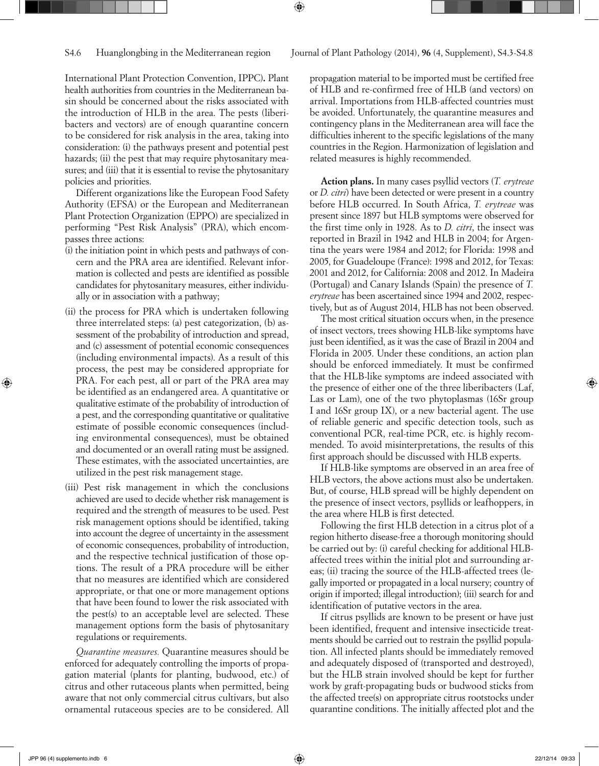International Plant Protection Convention, IPPC)**.** Plant health authorities from countries in the Mediterranean basin should be concerned about the risks associated with the introduction of HLB in the area. The pests (liberibacters and vectors) are of enough quarantine concern to be considered for risk analysis in the area, taking into consideration: (i) the pathways present and potential pest hazards; (ii) the pest that may require phytosanitary measures; and (iii) that it is essential to revise the phytosanitary policies and priorities.

Different organizations like the European Food Safety Authority (EFSA) or the European and Mediterranean Plant Protection Organization (EPPO) are specialized in performing "Pest Risk Analysis" (PRA), which encompasses three actions:

- (i) the initiation point in which pests and pathways of concern and the PRA area are identified. Relevant information is collected and pests are identified as possible candidates for phytosanitary measures, either individually or in association with a pathway;
- (ii) the process for PRA which is undertaken following three interrelated steps: (a) pest categorization, (b) assessment of the probability of introduction and spread, and (c) assessment of potential economic consequences (including environmental impacts). As a result of this process, the pest may be considered appropriate for PRA. For each pest, all or part of the PRA area may be identified as an endangered area. A quantitative or qualitative estimate of the probability of introduction of a pest, and the corresponding quantitative or qualitative estimate of possible economic consequences (including environmental consequences), must be obtained and documented or an overall rating must be assigned. These estimates, with the associated uncertainties, are utilized in the pest risk management stage.
- (iii) Pest risk management in which the conclusions achieved are used to decide whether risk management is required and the strength of measures to be used. Pest risk management options should be identified, taking into account the degree of uncertainty in the assessment of economic consequences, probability of introduction, and the respective technical justification of those options. The result of a PRA procedure will be either that no measures are identified which are considered appropriate, or that one or more management options that have been found to lower the risk associated with the pest(s) to an acceptable level are selected. These management options form the basis of phytosanitary regulations or requirements.

*Quarantine measures.* Quarantine measures should be enforced for adequately controlling the imports of propagation material (plants for planting, budwood, etc.) of citrus and other rutaceous plants when permitted, being aware that not only commercial citrus cultivars, but also ornamental rutaceous species are to be considered. All

propagation material to be imported must be certified free of HLB and re-confirmed free of HLB (and vectors) on arrival. Importations from HLB-affected countries must be avoided. Unfortunately, the quarantine measures and contingency plans in the Mediterranean area will face the difficulties inherent to the specific legislations of the many countries in the Region. Harmonization of legislation and related measures is highly recommended.

**Action plans.** In many cases psyllid vectors (*T. erytreae* or *D. citri*) have been detected or were present in a country before HLB occurred. In South Africa, *T. erytreae* was present since 1897 but HLB symptoms were observed for the first time only in 1928. As to *D. citri*, the insect was reported in Brazil in 1942 and HLB in 2004; for Argentina the years were 1984 and 2012; for Florida: 1998 and 2005, for Guadeloupe (France): 1998 and 2012, for Texas: 2001 and 2012, for California: 2008 and 2012. In Madeira (Portugal) and Canary Islands (Spain) the presence of *T. erytreae* has been ascertained since 1994 and 2002, respectively, but as of August 2014, HLB has not been observed.

The most critical situation occurs when, in the presence of insect vectors, trees showing HLB-like symptoms have just been identified, as it was the case of Brazil in 2004 and Florida in 2005. Under these conditions, an action plan should be enforced immediately. It must be confirmed that the HLB-like symptoms are indeed associated with the presence of either one of the three liberibacters (Laf, Las or Lam), one of the two phytoplasmas (16Sr group I and 16Sr group IX), or a new bacterial agent. The use of reliable generic and specific detection tools, such as conventional PCR, real-time PCR, etc. is highly recommended. To avoid misinterpretations, the results of this first approach should be discussed with HLB experts.

If HLB-like symptoms are observed in an area free of HLB vectors, the above actions must also be undertaken. But, of course, HLB spread will be highly dependent on the presence of insect vectors, psyllids or leafhoppers, in the area where HLB is first detected.

Following the first HLB detection in a citrus plot of a region hitherto disease-free a thorough monitoring should be carried out by: (i) careful checking for additional HLBaffected trees within the initial plot and surrounding areas; (ii) tracing the source of the HLB-affected trees (legally imported or propagated in a local nursery; country of origin if imported; illegal introduction); (iii) search for and identification of putative vectors in the area.

If citrus psyllids are known to be present or have just been identified, frequent and intensive insecticide treatments should be carried out to restrain the psyllid population. All infected plants should be immediately removed and adequately disposed of (transported and destroyed), but the HLB strain involved should be kept for further work by graft-propagating buds or budwood sticks from the affected tree(s) on appropriate citrus rootstocks under quarantine conditions. The initially affected plot and the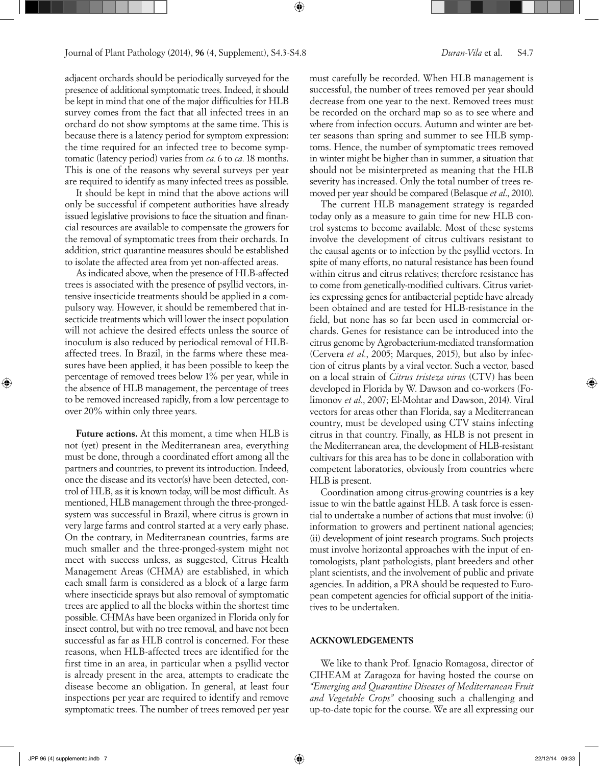adjacent orchards should be periodically surveyed for the presence of additional symptomatic trees. Indeed, it should be kept in mind that one of the major difficulties for HLB survey comes from the fact that all infected trees in an orchard do not show symptoms at the same time. This is because there is a latency period for symptom expression: the time required for an infected tree to become symptomatic (latency period) varies from *ca.*6 to *ca.*18 months. This is one of the reasons why several surveys per year are required to identify as many infected trees as possible.

It should be kept in mind that the above actions will only be successful if competent authorities have already issued legislative provisions to face the situation and financial resources are available to compensate the growers for the removal of symptomatic trees from their orchards. In addition, strict quarantine measures should be established to isolate the affected area from yet non-affected areas.

As indicated above, when the presence of HLB-affected trees is associated with the presence of psyllid vectors, intensive insecticide treatments should be applied in a compulsory way. However, it should be remembered that insecticide treatments which will lower the insect population will not achieve the desired effects unless the source of inoculum is also reduced by periodical removal of HLBaffected trees. In Brazil, in the farms where these measures have been applied, it has been possible to keep the percentage of removed trees below 1% per year, while in the absence of HLB management, the percentage of trees to be removed increased rapidly, from a low percentage to over 20% within only three years.

**Future actions.** At this moment, a time when HLB is not (yet) present in the Mediterranean area, everything must be done, through a coordinated effort among all the partners and countries, to prevent its introduction. Indeed, once the disease and its vector(s) have been detected, control of HLB, as it is known today, will be most difficult. As mentioned, HLB management through the three-prongedsystem was successful in Brazil, where citrus is grown in very large farms and control started at a very early phase. On the contrary, in Mediterranean countries, farms are much smaller and the three-pronged-system might not meet with success unless, as suggested, Citrus Health Management Areas (CHMA) are established, in which each small farm is considered as a block of a large farm where insecticide sprays but also removal of symptomatic trees are applied to all the blocks within the shortest time possible. CHMAs have been organized in Florida only for insect control, but with no tree removal, and have not been successful as far as HLB control is concerned. For these reasons, when HLB-affected trees are identified for the first time in an area, in particular when a psyllid vector is already present in the area, attempts to eradicate the disease become an obligation. In general, at least four inspections per year are required to identify and remove symptomatic trees. The number of trees removed per year must carefully be recorded. When HLB management is successful, the number of trees removed per year should decrease from one year to the next. Removed trees must be recorded on the orchard map so as to see where and where from infection occurs. Autumn and winter are better seasons than spring and summer to see HLB symptoms. Hence, the number of symptomatic trees removed in winter might be higher than in summer, a situation that should not be misinterpreted as meaning that the HLB severity has increased. Only the total number of trees removed per year should be compared (Belasque *et al*., 2010).

The current HLB management strategy is regarded today only as a measure to gain time for new HLB control systems to become available. Most of these systems involve the development of citrus cultivars resistant to the causal agents or to infection by the psyllid vectors. In spite of many efforts, no natural resistance has been found within citrus and citrus relatives; therefore resistance has to come from genetically-modified cultivars. Citrus varieties expressing genes for antibacterial peptide have already been obtained and are tested for HLB-resistance in the field, but none has so far been used in commercial orchards. Genes for resistance can be introduced into the citrus genome by Agrobacterium-mediated transformation (Cervera *et al.*, 2005; Marques, 2015), but also by infection of citrus plants by a viral vector. Such a vector, based on a local strain of *Citrus tristeza virus* (CTV) has been developed in Florida by W. Dawson and co-workers (Folimonov *et al.*, 2007; El-Mohtar and Dawson, 2014). Viral vectors for areas other than Florida, say a Mediterranean country, must be developed using CTV stains infecting citrus in that country. Finally, as HLB is not present in the Mediterranean area, the development of HLB-resistant cultivars for this area has to be done in collaboration with competent laboratories, obviously from countries where HLB is present.

Coordination among citrus-growing countries is a key issue to win the battle against HLB. A task force is essential to undertake a number of actions that must involve: (i) information to growers and pertinent national agencies; (ii) development of joint research programs. Such projects must involve horizontal approaches with the input of entomologists, plant pathologists, plant breeders and other plant scientists, and the involvement of public and private agencies. In addition, a PRA should be requested to European competent agencies for official support of the initiatives to be undertaken.

# **ACKNOWLEDGEMENTS**

We like to thank Prof. Ignacio Romagosa, director of CIHEAM at Zaragoza for having hosted the course on *"Emerging and Quarantine Diseases of Mediterranean Fruit and Vegetable Crops"* choosing such a challenging and up-to-date topic for the course. We are all expressing our